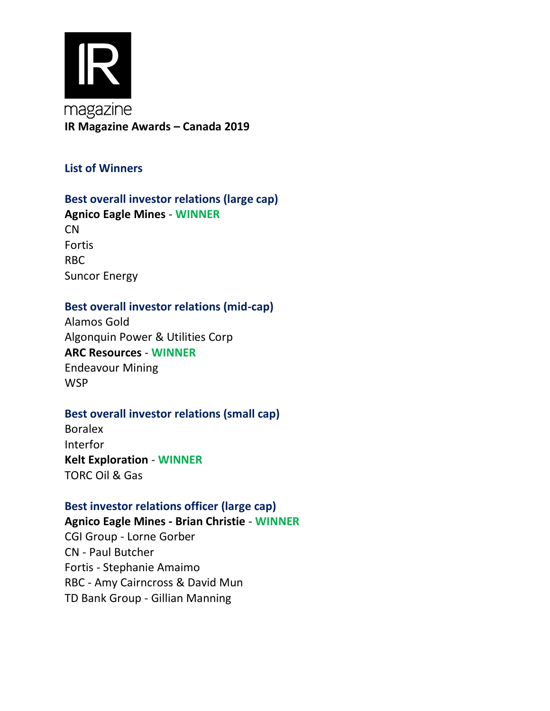

# **Best overall investor relations (large cap)**

**Agnico Eagle Mines** - **WINNER** CN Fortis RBC Suncor Energy

## **Best overall investor relations (mid-cap)**

Alamos Gold Algonquin Power & Utilities Corp **ARC Resources** - **WINNER** Endeavour Mining WSP

#### **Best overall investor relations (small cap)**

Boralex Interfor **Kelt Exploration** - **WINNER** TORC Oil & Gas

#### **Best investor relations officer (large cap)**

**Agnico Eagle Mines - Brian Christie** - **WINNER** CGI Group - Lorne Gorber CN - Paul Butcher Fortis - Stephanie Amaimo RBC - Amy Cairncross & David Mun TD Bank Group - Gillian Manning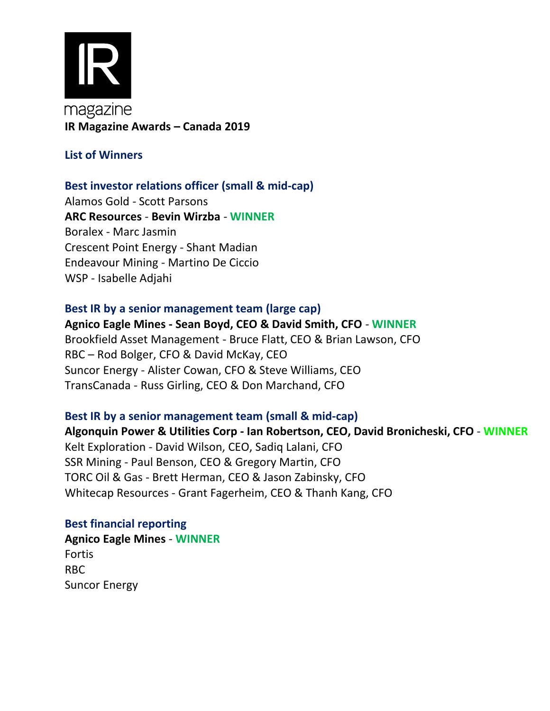

#### **Best investor relations officer (small & mid-cap)**

Alamos Gold - Scott Parsons **ARC Resources** - **Bevin Wirzba** - **WINNER** Boralex - Marc Jasmin Crescent Point Energy - Shant Madian Endeavour Mining - Martino De Ciccio WSP - Isabelle Adjahi

# **Best IR by a senior management team (large cap) Agnico Eagle Mines - Sean Boyd, CEO & David Smith, CFO** - **WINNER**  Brookfield Asset Management - Bruce Flatt, CEO & Brian Lawson, CFO RBC – Rod Bolger, CFO & David McKay, CEO Suncor Energy - Alister Cowan, CFO & Steve Williams, CEO TransCanada - Russ Girling, CEO & Don Marchand, CFO

## **Best IR by a senior management team (small & mid-cap)**

**Algonquin Power & Utilities Corp - Ian Robertson, CEO, David Bronicheski, CFO** - **WINNER** Kelt Exploration - David Wilson, CEO, Sadiq Lalani, CFO SSR Mining - Paul Benson, CEO & Gregory Martin, CFO TORC Oil & Gas - Brett Herman, CEO & Jason Zabinsky, CFO Whitecap Resources - Grant Fagerheim, CEO & Thanh Kang, CFO

#### **Best financial reporting**

**Agnico Eagle Mines** - **WINNER** Fortis RBC Suncor Energy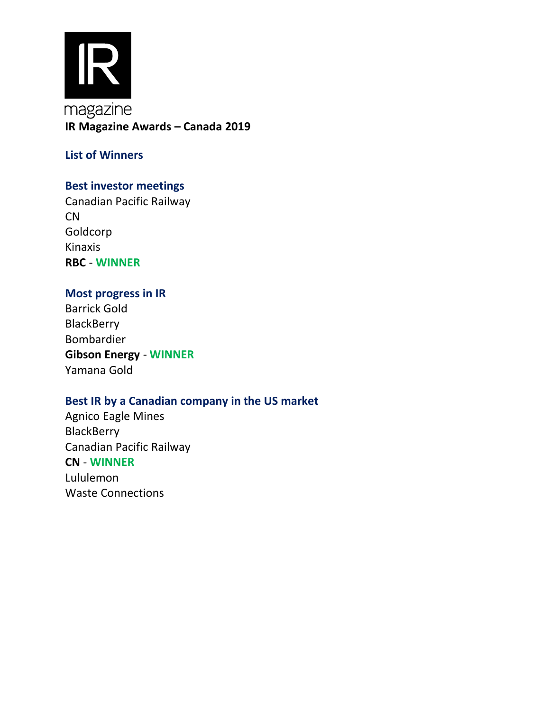

# **Best investor meetings**

Canadian Pacific Railway CN Goldcorp Kinaxis **RBC** - **WINNER**

# **Most progress in IR**

Barrick Gold **BlackBerry** Bombardier **Gibson Energy** - **WINNER** Yamana Gold

#### **Best IR by a Canadian company in the US market**

Agnico Eagle Mines **BlackBerry** Canadian Pacific Railway **CN** - **WINNER** Lululemon Waste Connections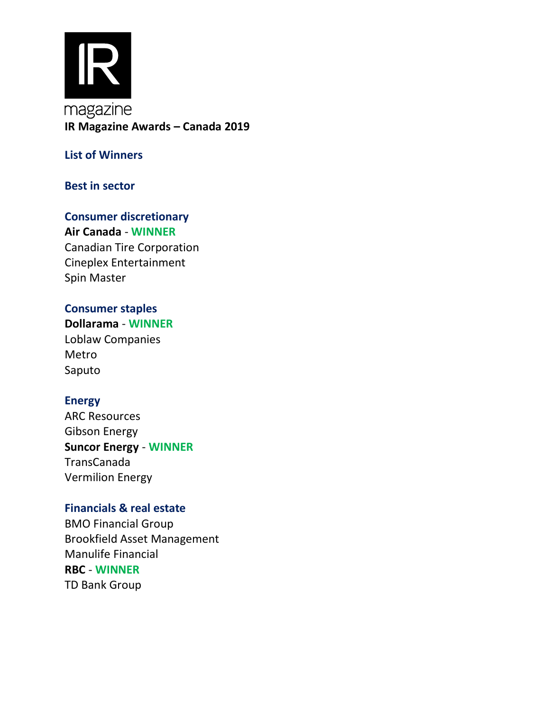

#### **Best in sector**

# **Consumer discretionary Air Canada** - **WINNER** Canadian Tire Corporation Cineplex Entertainment

Spin Master

## **Consumer staples**

Saputo **Dollarama** - **WINNER** Loblaw Companies Metro

#### **Energy**

Vermilion Energy ARC Resources Gibson Energy **Suncor Energy** - **WINNER** TransCanada

#### **Financials & real estate**

BMO Financial Group Brookfield Asset Management Manulife Financial **RBC** - **WINNER** TD Bank Group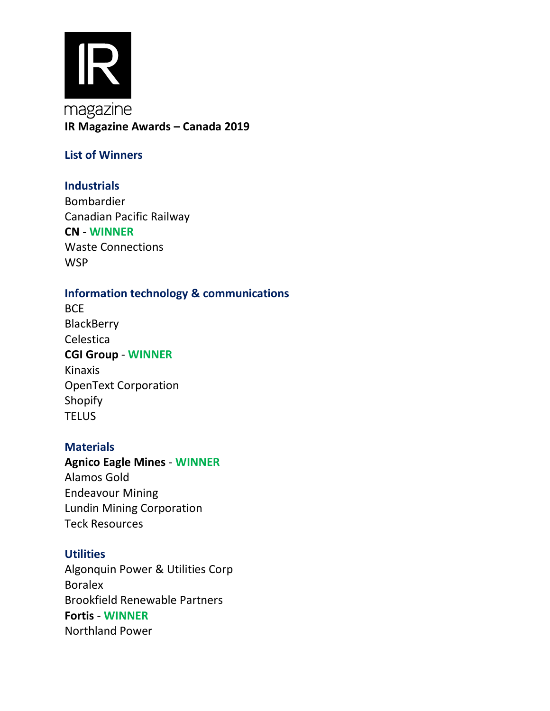

# **Industrials**

Bombardier Canadian Pacific Railway **CN** - **WINNER** Waste Connections **WSP** 

# **Information technology & communications**

**BCE BlackBerry** Celestica **CGI Group** - **WINNER** Kinaxis OpenText Corporation Shopify **TELUS** 

#### **Materials**

# **Agnico Eagle Mines** - **WINNER** Alamos Gold Endeavour Mining Lundin Mining Corporation Teck Resources

## **Utilities**

Algonquin Power & Utilities Corp Boralex Brookfield Renewable Partners **Fortis** - **WINNER** Northland Power